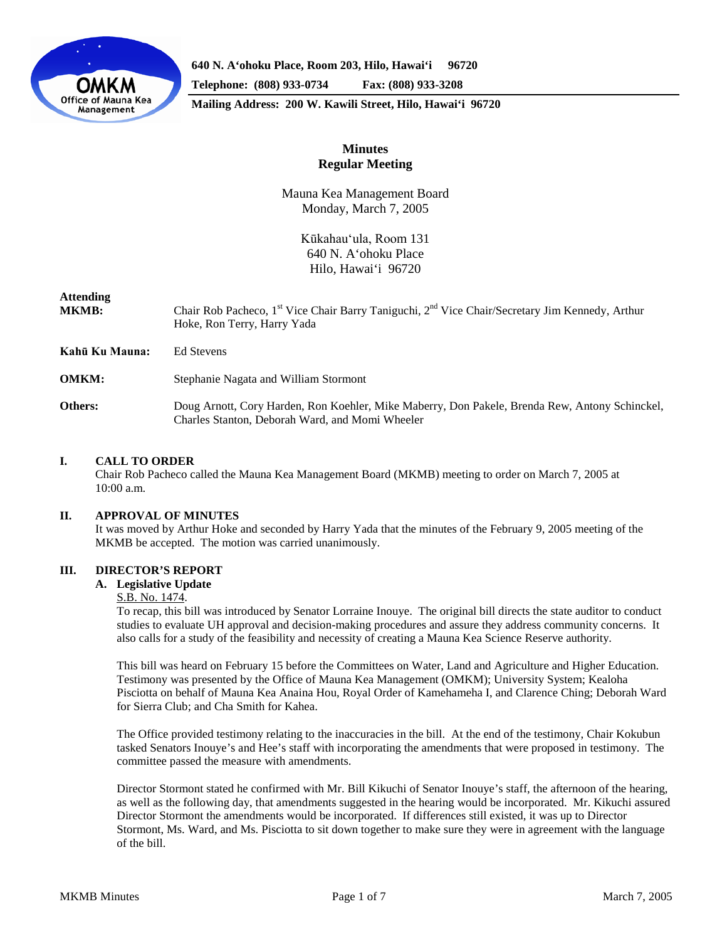

**640 N. A'ohoku Place, Room 203, Hilo, Hawai'i 96720**

**Telephone: (808) 933-0734 Fax: (808) 933-3208**

**Mailing Address: 200 W. Kawili Street, Hilo, Hawai'i 96720**

# **Minutes Regular Meeting**

Mauna Kea Management Board Monday, March 7, 2005

> Kūkahau'ula, Room 131 640 N. A'ohoku Place Hilo, Hawai'i 96720

| <b>Attending</b><br><b>MKMB:</b> | Chair Rob Pacheco, 1 <sup>st</sup> Vice Chair Barry Taniguchi, 2 <sup>nd</sup> Vice Chair/Secretary Jim Kennedy, Arthur<br>Hoke, Ron Terry, Harry Yada |
|----------------------------------|--------------------------------------------------------------------------------------------------------------------------------------------------------|
| Kahū Ku Mauna:                   | Ed Stevens                                                                                                                                             |
| <b>OMKM:</b>                     | Stephanie Nagata and William Stormont                                                                                                                  |
| Others:                          | Doug Arnott, Cory Harden, Ron Koehler, Mike Maberry, Don Pakele, Brenda Rew, Antony Schinckel,<br>Charles Stanton, Deborah Ward, and Momi Wheeler      |

# **I. CALL TO ORDER**

Chair Rob Pacheco called the Mauna Kea Management Board (MKMB) meeting to order on March 7, 2005 at 10:00 a.m.

## **II. APPROVAL OF MINUTES**

It was moved by Arthur Hoke and seconded by Harry Yada that the minutes of the February 9, 2005 meeting of the MKMB be accepted. The motion was carried unanimously.

# **III. DIRECTOR'S REPORT**

### **A. Legislative Update**

### S.B. No. 1474.

To recap, this bill was introduced by Senator Lorraine Inouye. The original bill directs the state auditor to conduct studies to evaluate UH approval and decision-making procedures and assure they address community concerns. It also calls for a study of the feasibility and necessity of creating a Mauna Kea Science Reserve authority.

This bill was heard on February 15 before the Committees on Water, Land and Agriculture and Higher Education. Testimony was presented by the Office of Mauna Kea Management (OMKM); University System; Kealoha Pisciotta on behalf of Mauna Kea Anaina Hou, Royal Order of Kamehameha I, and Clarence Ching; Deborah Ward for Sierra Club; and Cha Smith for Kahea.

The Office provided testimony relating to the inaccuracies in the bill. At the end of the testimony, Chair Kokubun tasked Senators Inouye's and Hee's staff with incorporating the amendments that were proposed in testimony. The committee passed the measure with amendments.

Director Stormont stated he confirmed with Mr. Bill Kikuchi of Senator Inouye's staff, the afternoon of the hearing, as well as the following day, that amendments suggested in the hearing would be incorporated. Mr. Kikuchi assured Director Stormont the amendments would be incorporated. If differences still existed, it was up to Director Stormont, Ms. Ward, and Ms. Pisciotta to sit down together to make sure they were in agreement with the language of the bill.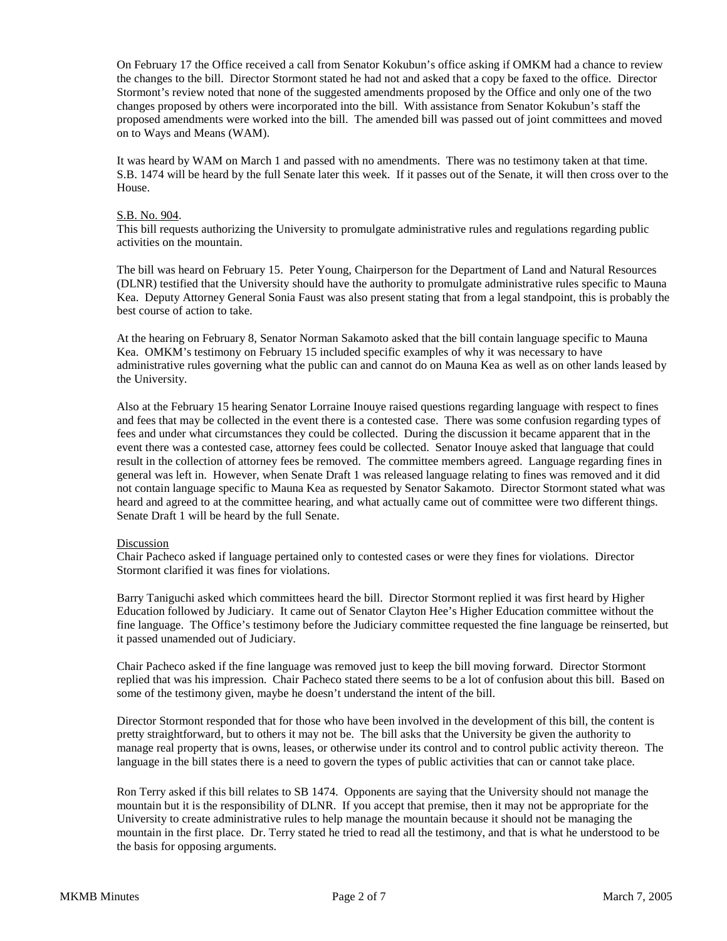On February 17 the Office received a call from Senator Kokubun's office asking if OMKM had a chance to review the changes to the bill. Director Stormont stated he had not and asked that a copy be faxed to the office. Director Stormont's review noted that none of the suggested amendments proposed by the Office and only one of the two changes proposed by others were incorporated into the bill. With assistance from Senator Kokubun's staff the proposed amendments were worked into the bill. The amended bill was passed out of joint committees and moved on to Ways and Means (WAM).

It was heard by WAM on March 1 and passed with no amendments. There was no testimony taken at that time. S.B. 1474 will be heard by the full Senate later this week. If it passes out of the Senate, it will then cross over to the House.

### S.B. No. 904.

This bill requests authorizing the University to promulgate administrative rules and regulations regarding public activities on the mountain.

The bill was heard on February 15. Peter Young, Chairperson for the Department of Land and Natural Resources (DLNR) testified that the University should have the authority to promulgate administrative rules specific to Mauna Kea. Deputy Attorney General Sonia Faust was also present stating that from a legal standpoint, this is probably the best course of action to take.

At the hearing on February 8, Senator Norman Sakamoto asked that the bill contain language specific to Mauna Kea. OMKM's testimony on February 15 included specific examples of why it was necessary to have administrative rules governing what the public can and cannot do on Mauna Kea as well as on other lands leased by the University.

Also at the February 15 hearing Senator Lorraine Inouye raised questions regarding language with respect to fines and fees that may be collected in the event there is a contested case. There was some confusion regarding types of fees and under what circumstances they could be collected. During the discussion it became apparent that in the event there was a contested case, attorney fees could be collected. Senator Inouye asked that language that could result in the collection of attorney fees be removed. The committee members agreed. Language regarding fines in general was left in. However, when Senate Draft 1 was released language relating to fines was removed and it did not contain language specific to Mauna Kea as requested by Senator Sakamoto. Director Stormont stated what was heard and agreed to at the committee hearing, and what actually came out of committee were two different things. Senate Draft 1 will be heard by the full Senate.

### Discussion

Chair Pacheco asked if language pertained only to contested cases or were they fines for violations. Director Stormont clarified it was fines for violations.

Barry Taniguchi asked which committees heard the bill. Director Stormont replied it was first heard by Higher Education followed by Judiciary. It came out of Senator Clayton Hee's Higher Education committee without the fine language. The Office's testimony before the Judiciary committee requested the fine language be reinserted, but it passed unamended out of Judiciary.

Chair Pacheco asked if the fine language was removed just to keep the bill moving forward. Director Stormont replied that was his impression. Chair Pacheco stated there seems to be a lot of confusion about this bill. Based on some of the testimony given, maybe he doesn't understand the intent of the bill.

Director Stormont responded that for those who have been involved in the development of this bill, the content is pretty straightforward, but to others it may not be. The bill asks that the University be given the authority to manage real property that is owns, leases, or otherwise under its control and to control public activity thereon. The language in the bill states there is a need to govern the types of public activities that can or cannot take place.

Ron Terry asked if this bill relates to SB 1474. Opponents are saying that the University should not manage the mountain but it is the responsibility of DLNR. If you accept that premise, then it may not be appropriate for the University to create administrative rules to help manage the mountain because it should not be managing the mountain in the first place. Dr. Terry stated he tried to read all the testimony, and that is what he understood to be the basis for opposing arguments.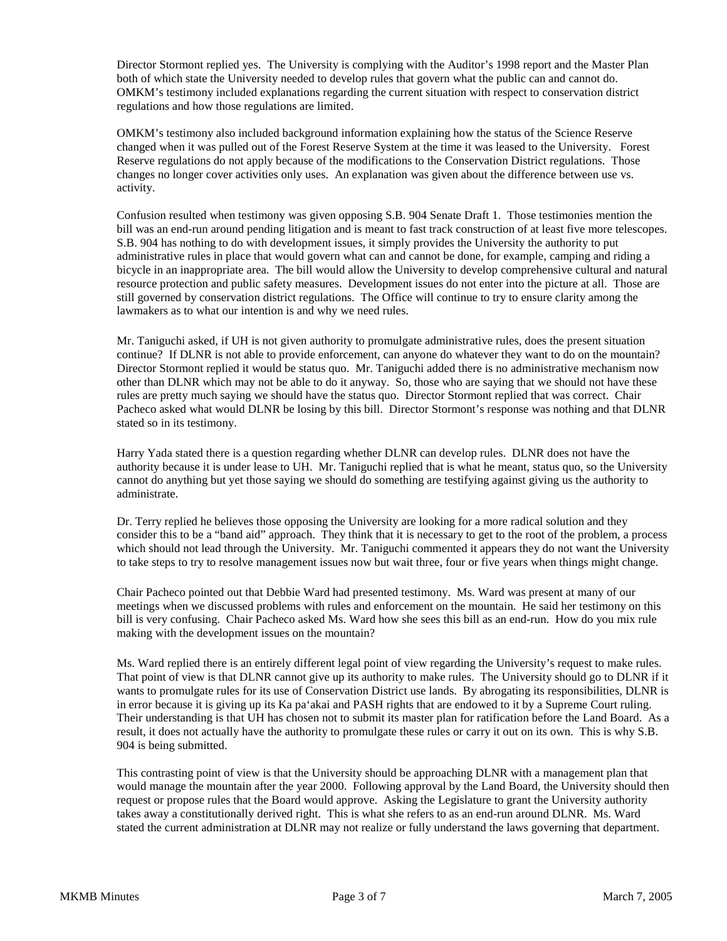Director Stormont replied yes. The University is complying with the Auditor's 1998 report and the Master Plan both of which state the University needed to develop rules that govern what the public can and cannot do. OMKM's testimony included explanations regarding the current situation with respect to conservation district regulations and how those regulations are limited.

OMKM's testimony also included background information explaining how the status of the Science Reserve changed when it was pulled out of the Forest Reserve System at the time it was leased to the University. Forest Reserve regulations do not apply because of the modifications to the Conservation District regulations. Those changes no longer cover activities only uses. An explanation was given about the difference between use vs. activity.

Confusion resulted when testimony was given opposing S.B. 904 Senate Draft 1. Those testimonies mention the bill was an end-run around pending litigation and is meant to fast track construction of at least five more telescopes. S.B. 904 has nothing to do with development issues, it simply provides the University the authority to put administrative rules in place that would govern what can and cannot be done, for example, camping and riding a bicycle in an inappropriate area. The bill would allow the University to develop comprehensive cultural and natural resource protection and public safety measures. Development issues do not enter into the picture at all. Those are still governed by conservation district regulations. The Office will continue to try to ensure clarity among the lawmakers as to what our intention is and why we need rules.

Mr. Taniguchi asked, if UH is not given authority to promulgate administrative rules, does the present situation continue? If DLNR is not able to provide enforcement, can anyone do whatever they want to do on the mountain? Director Stormont replied it would be status quo. Mr. Taniguchi added there is no administrative mechanism now other than DLNR which may not be able to do it anyway. So, those who are saying that we should not have these rules are pretty much saying we should have the status quo. Director Stormont replied that was correct. Chair Pacheco asked what would DLNR be losing by this bill. Director Stormont's response was nothing and that DLNR stated so in its testimony.

Harry Yada stated there is a question regarding whether DLNR can develop rules. DLNR does not have the authority because it is under lease to UH. Mr. Taniguchi replied that is what he meant, status quo, so the University cannot do anything but yet those saying we should do something are testifying against giving us the authority to administrate.

Dr. Terry replied he believes those opposing the University are looking for a more radical solution and they consider this to be a "band aid" approach. They think that it is necessary to get to the root of the problem, a process which should not lead through the University. Mr. Taniguchi commented it appears they do not want the University to take steps to try to resolve management issues now but wait three, four or five years when things might change.

Chair Pacheco pointed out that Debbie Ward had presented testimony. Ms. Ward was present at many of our meetings when we discussed problems with rules and enforcement on the mountain. He said her testimony on this bill is very confusing. Chair Pacheco asked Ms. Ward how she sees this bill as an end-run. How do you mix rule making with the development issues on the mountain?

Ms. Ward replied there is an entirely different legal point of view regarding the University's request to make rules. That point of view is that DLNR cannot give up its authority to make rules. The University should go to DLNR if it wants to promulgate rules for its use of Conservation District use lands. By abrogating its responsibilities, DLNR is in error because it is giving up its Ka pa'akai and PASH rights that are endowed to it by a Supreme Court ruling. Their understanding is that UH has chosen not to submit its master plan for ratification before the Land Board. As a result, it does not actually have the authority to promulgate these rules or carry it out on its own. This is why S.B. 904 is being submitted.

This contrasting point of view is that the University should be approaching DLNR with a management plan that would manage the mountain after the year 2000. Following approval by the Land Board, the University should then request or propose rules that the Board would approve. Asking the Legislature to grant the University authority takes away a constitutionally derived right. This is what she refers to as an end-run around DLNR. Ms. Ward stated the current administration at DLNR may not realize or fully understand the laws governing that department.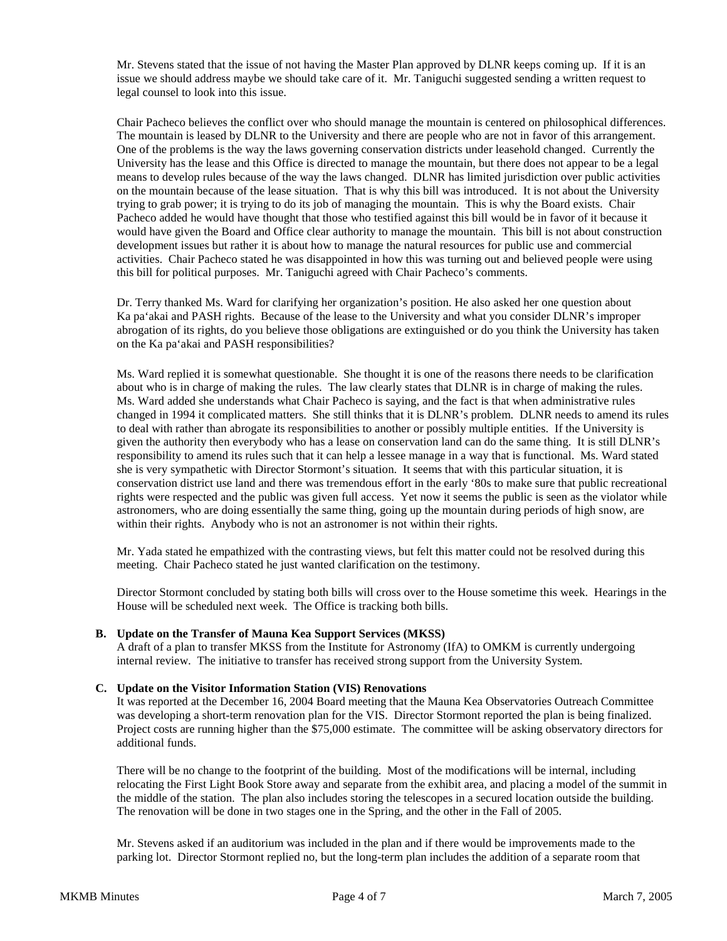Mr. Stevens stated that the issue of not having the Master Plan approved by DLNR keeps coming up. If it is an issue we should address maybe we should take care of it. Mr. Taniguchi suggested sending a written request to legal counsel to look into this issue.

Chair Pacheco believes the conflict over who should manage the mountain is centered on philosophical differences. The mountain is leased by DLNR to the University and there are people who are not in favor of this arrangement. One of the problems is the way the laws governing conservation districts under leasehold changed. Currently the University has the lease and this Office is directed to manage the mountain, but there does not appear to be a legal means to develop rules because of the way the laws changed. DLNR has limited jurisdiction over public activities on the mountain because of the lease situation. That is why this bill was introduced. It is not about the University trying to grab power; it is trying to do its job of managing the mountain. This is why the Board exists. Chair Pacheco added he would have thought that those who testified against this bill would be in favor of it because it would have given the Board and Office clear authority to manage the mountain. This bill is not about construction development issues but rather it is about how to manage the natural resources for public use and commercial activities. Chair Pacheco stated he was disappointed in how this was turning out and believed people were using this bill for political purposes. Mr. Taniguchi agreed with Chair Pacheco's comments.

Dr. Terry thanked Ms. Ward for clarifying her organization's position. He also asked her one question about Ka pa'akai and PASH rights. Because of the lease to the University and what you consider DLNR's improper abrogation of its rights, do you believe those obligations are extinguished or do you think the University has taken on the Ka pa'akai and PASH responsibilities?

Ms. Ward replied it is somewhat questionable. She thought it is one of the reasons there needs to be clarification about who is in charge of making the rules. The law clearly states that DLNR is in charge of making the rules. Ms. Ward added she understands what Chair Pacheco is saying, and the fact is that when administrative rules changed in 1994 it complicated matters. She still thinks that it is DLNR's problem. DLNR needs to amend its rules to deal with rather than abrogate its responsibilities to another or possibly multiple entities. If the University is given the authority then everybody who has a lease on conservation land can do the same thing. It is still DLNR's responsibility to amend its rules such that it can help a lessee manage in a way that is functional. Ms. Ward stated she is very sympathetic with Director Stormont's situation. It seems that with this particular situation, it is conservation district use land and there was tremendous effort in the early '80s to make sure that public recreational rights were respected and the public was given full access. Yet now it seems the public is seen as the violator while astronomers, who are doing essentially the same thing, going up the mountain during periods of high snow, are within their rights. Anybody who is not an astronomer is not within their rights.

Mr. Yada stated he empathized with the contrasting views, but felt this matter could not be resolved during this meeting. Chair Pacheco stated he just wanted clarification on the testimony.

Director Stormont concluded by stating both bills will cross over to the House sometime this week. Hearings in the House will be scheduled next week. The Office is tracking both bills.

## **B. Update on the Transfer of Mauna Kea Support Services (MKSS)**

A draft of a plan to transfer MKSS from the Institute for Astronomy (IfA) to OMKM is currently undergoing internal review. The initiative to transfer has received strong support from the University System.

### **C. Update on the Visitor Information Station (VIS) Renovations**

It was reported at the December 16, 2004 Board meeting that the Mauna Kea Observatories Outreach Committee was developing a short-term renovation plan for the VIS. Director Stormont reported the plan is being finalized. Project costs are running higher than the \$75,000 estimate. The committee will be asking observatory directors for additional funds.

There will be no change to the footprint of the building. Most of the modifications will be internal, including relocating the First Light Book Store away and separate from the exhibit area, and placing a model of the summit in the middle of the station. The plan also includes storing the telescopes in a secured location outside the building. The renovation will be done in two stages one in the Spring, and the other in the Fall of 2005.

Mr. Stevens asked if an auditorium was included in the plan and if there would be improvements made to the parking lot. Director Stormont replied no, but the long-term plan includes the addition of a separate room that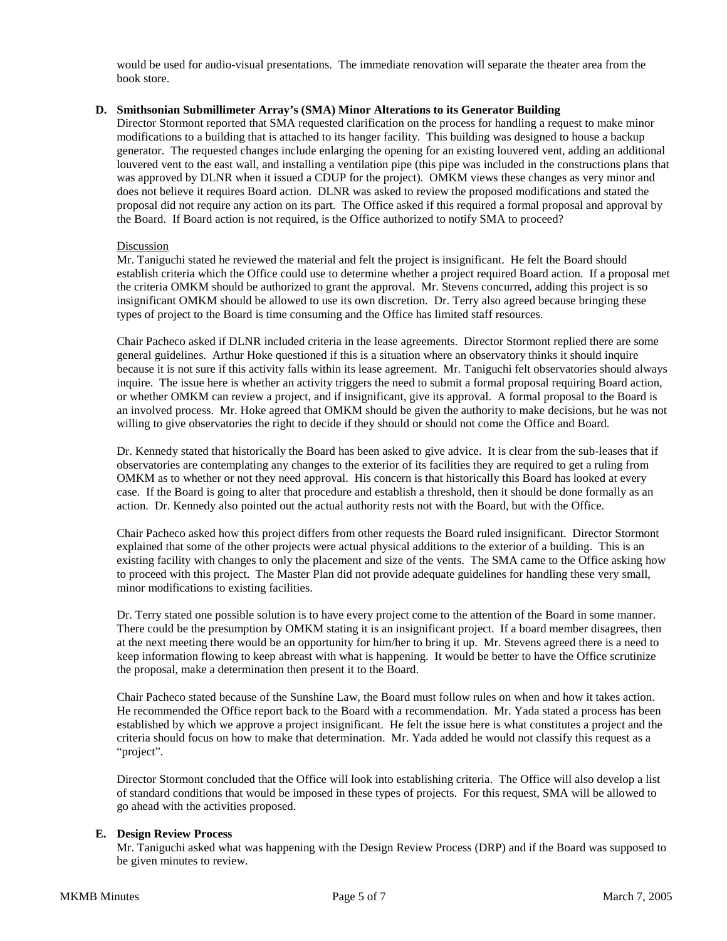would be used for audio-visual presentations. The immediate renovation will separate the theater area from the book store.

### **D. Smithsonian Submillimeter Array's (SMA) Minor Alterations to its Generator Building**

Director Stormont reported that SMA requested clarification on the process for handling a request to make minor modifications to a building that is attached to its hanger facility. This building was designed to house a backup generator. The requested changes include enlarging the opening for an existing louvered vent, adding an additional louvered vent to the east wall, and installing a ventilation pipe (this pipe was included in the constructions plans that was approved by DLNR when it issued a CDUP for the project). OMKM views these changes as very minor and does not believe it requires Board action. DLNR was asked to review the proposed modifications and stated the proposal did not require any action on its part. The Office asked if this required a formal proposal and approval by the Board. If Board action is not required, is the Office authorized to notify SMA to proceed?

### Discussion

Mr. Taniguchi stated he reviewed the material and felt the project is insignificant. He felt the Board should establish criteria which the Office could use to determine whether a project required Board action. If a proposal met the criteria OMKM should be authorized to grant the approval. Mr. Stevens concurred, adding this project is so insignificant OMKM should be allowed to use its own discretion. Dr. Terry also agreed because bringing these types of project to the Board is time consuming and the Office has limited staff resources.

Chair Pacheco asked if DLNR included criteria in the lease agreements. Director Stormont replied there are some general guidelines. Arthur Hoke questioned if this is a situation where an observatory thinks it should inquire because it is not sure if this activity falls within its lease agreement. Mr. Taniguchi felt observatories should always inquire. The issue here is whether an activity triggers the need to submit a formal proposal requiring Board action, or whether OMKM can review a project, and if insignificant, give its approval. A formal proposal to the Board is an involved process. Mr. Hoke agreed that OMKM should be given the authority to make decisions, but he was not willing to give observatories the right to decide if they should or should not come the Office and Board.

Dr. Kennedy stated that historically the Board has been asked to give advice. It is clear from the sub-leases that if observatories are contemplating any changes to the exterior of its facilities they are required to get a ruling from OMKM as to whether or not they need approval. His concern is that historically this Board has looked at every case. If the Board is going to alter that procedure and establish a threshold, then it should be done formally as an action. Dr. Kennedy also pointed out the actual authority rests not with the Board, but with the Office.

Chair Pacheco asked how this project differs from other requests the Board ruled insignificant. Director Stormont explained that some of the other projects were actual physical additions to the exterior of a building. This is an existing facility with changes to only the placement and size of the vents. The SMA came to the Office asking how to proceed with this project. The Master Plan did not provide adequate guidelines for handling these very small, minor modifications to existing facilities.

Dr. Terry stated one possible solution is to have every project come to the attention of the Board in some manner. There could be the presumption by OMKM stating it is an insignificant project. If a board member disagrees, then at the next meeting there would be an opportunity for him/her to bring it up. Mr. Stevens agreed there is a need to keep information flowing to keep abreast with what is happening. It would be better to have the Office scrutinize the proposal, make a determination then present it to the Board.

Chair Pacheco stated because of the Sunshine Law, the Board must follow rules on when and how it takes action. He recommended the Office report back to the Board with a recommendation. Mr. Yada stated a process has been established by which we approve a project insignificant. He felt the issue here is what constitutes a project and the criteria should focus on how to make that determination. Mr. Yada added he would not classify this request as a "project".

Director Stormont concluded that the Office will look into establishing criteria. The Office will also develop a list of standard conditions that would be imposed in these types of projects. For this request, SMA will be allowed to go ahead with the activities proposed.

## **E. Design Review Process**

Mr. Taniguchi asked what was happening with the Design Review Process (DRP) and if the Board was supposed to be given minutes to review.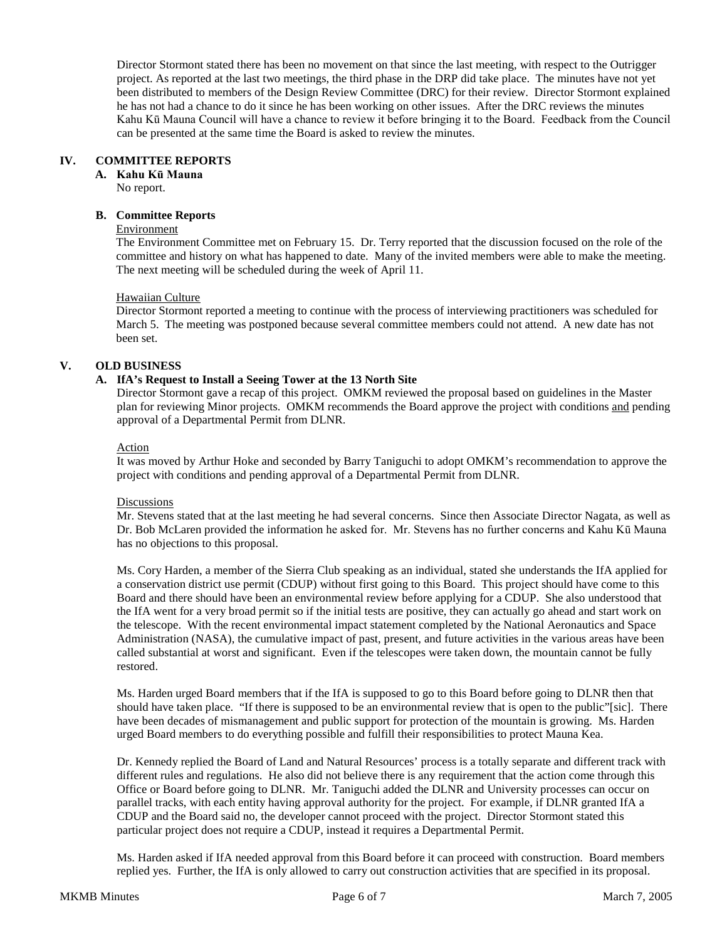Director Stormont stated there has been no movement on that since the last meeting, with respect to the Outrigger project. As reported at the last two meetings, the third phase in the DRP did take place. The minutes have not yet been distributed to members of the Design Review Committee (DRC) for their review. Director Stormont explained he has not had a chance to do it since he has been working on other issues. After the DRC reviews the minutes Kahu Kū Mauna Council will have a chance to review it before bringing it to the Board. Feedback from the Council can be presented at the same time the Board is asked to review the minutes.

# **IV. COMMITTEE REPORTS**

**A. Kahu Kū Mauna**

No report.

## **B. Committee Reports**

## Environment

The Environment Committee met on February 15. Dr. Terry reported that the discussion focused on the role of the committee and history on what has happened to date. Many of the invited members were able to make the meeting. The next meeting will be scheduled during the week of April 11.

## Hawaiian Culture

Director Stormont reported a meeting to continue with the process of interviewing practitioners was scheduled for March 5. The meeting was postponed because several committee members could not attend. A new date has not been set.

# **V. OLD BUSINESS**

## **A. IfA's Request to Install a Seeing Tower at the 13 North Site**

Director Stormont gave a recap of this project. OMKM reviewed the proposal based on guidelines in the Master plan for reviewing Minor projects. OMKM recommends the Board approve the project with conditions and pending approval of a Departmental Permit from DLNR.

### Action

It was moved by Arthur Hoke and seconded by Barry Taniguchi to adopt OMKM's recommendation to approve the project with conditions and pending approval of a Departmental Permit from DLNR.

### **Discussions**

Mr. Stevens stated that at the last meeting he had several concerns. Since then Associate Director Nagata, as well as Dr. Bob McLaren provided the information he asked for. Mr. Stevens has no further concerns and Kahu Kū Mauna has no objections to this proposal.

Ms. Cory Harden, a member of the Sierra Club speaking as an individual, stated she understands the IfA applied for a conservation district use permit (CDUP) without first going to this Board. This project should have come to this Board and there should have been an environmental review before applying for a CDUP. She also understood that the IfA went for a very broad permit so if the initial tests are positive, they can actually go ahead and start work on the telescope. With the recent environmental impact statement completed by the National Aeronautics and Space Administration (NASA), the cumulative impact of past, present, and future activities in the various areas have been called substantial at worst and significant. Even if the telescopes were taken down, the mountain cannot be fully restored.

Ms. Harden urged Board members that if the IfA is supposed to go to this Board before going to DLNR then that should have taken place. "If there is supposed to be an environmental review that is open to the public"[sic]. There have been decades of mismanagement and public support for protection of the mountain is growing. Ms. Harden urged Board members to do everything possible and fulfill their responsibilities to protect Mauna Kea.

Dr. Kennedy replied the Board of Land and Natural Resources' process is a totally separate and different track with different rules and regulations. He also did not believe there is any requirement that the action come through this Office or Board before going to DLNR. Mr. Taniguchi added the DLNR and University processes can occur on parallel tracks, with each entity having approval authority for the project. For example, if DLNR granted IfA a CDUP and the Board said no, the developer cannot proceed with the project. Director Stormont stated this particular project does not require a CDUP, instead it requires a Departmental Permit.

Ms. Harden asked if IfA needed approval from this Board before it can proceed with construction. Board members replied yes. Further, the IfA is only allowed to carry out construction activities that are specified in its proposal.